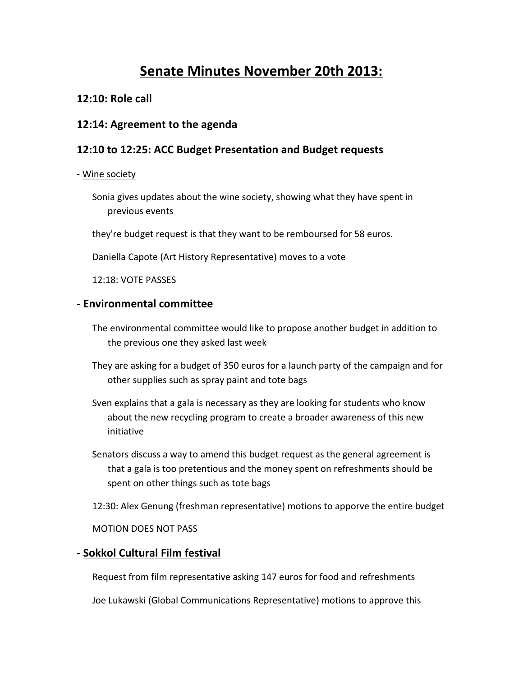# **Senate Minutes November 20th 2013:**

## **12:10: Role call**

#### **12:14: Agreement to the agenda**

# **12:10 to 12:25: ACC Budget Presentation and Budget requests**

#### - Wine society

- Sonia gives updates about the wine society, showing what they have spent in previous events
- they're budget request is that they want to be remboursed for 58 euros.

Daniella Capote (Art History Representative) moves to a vote

12:18: VOTE PASSES

#### **- Environmental committee**

- The environmental committee would like to propose another budget in addition to the previous one they asked last week
- They are asking for a budget of 350 euros for a launch party of the campaign and for other supplies such as spray paint and tote bags
- Sven explains that a gala is necessary as they are looking for students who know about the new recycling program to create a broader awareness of this new initiative
- Senators discuss a way to amend this budget request as the general agreement is that a gala is too pretentious and the money spent on refreshments should be spent on other things such as tote bags
- 12:30: Alex Genung (freshman representative) motions to apporve the entire budget

MOTION DOES NOT PASS

#### **- Sokkol Cultural Film festival**

Request from film representative asking 147 euros for food and refreshments

Joe Lukawski (Global Communications Representative) motions to approve this